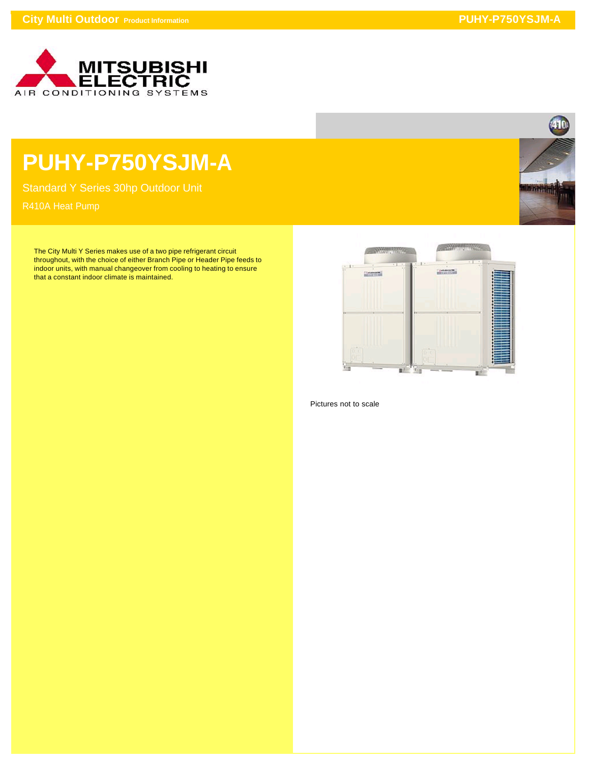

## **PUHY-P750YSJM-A**

Standard Y Series 30hp Outdoor Unit

The City Multi Y Series makes use of a two pipe refrigerant circuit throughout, with the choice of either Branch Pipe or Header Pipe feeds to indoor units, with manual changeover from cooling to heating to ensure that a constant indoor climate is maintained.



Pictures not to scale